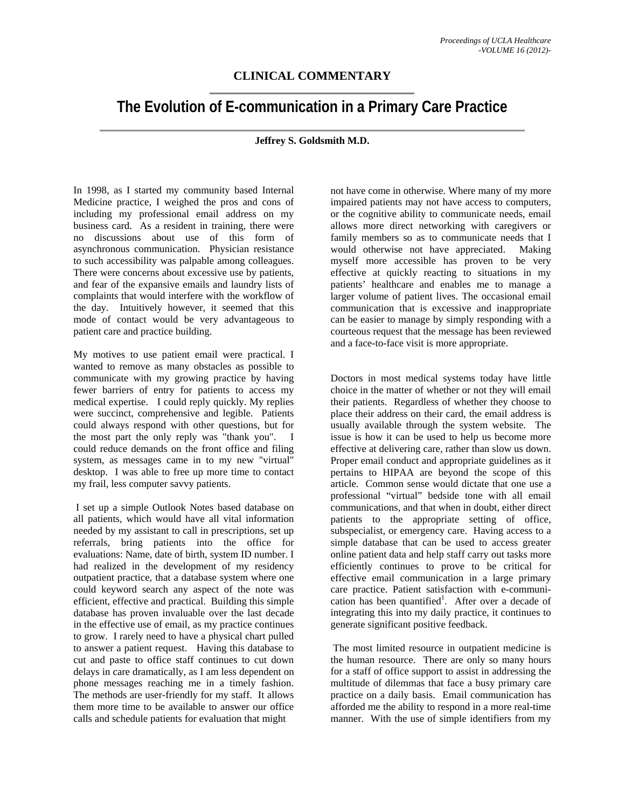## **CLINICAL COMMENTARY**

## **The Evolution of E-communication in a Primary Care Practice**

## **Jeffrey S. Goldsmith M.D.**

In 1998, as I started my community based Internal Medicine practice, I weighed the pros and cons of including my professional email address on my business card. As a resident in training, there were no discussions about use of this form of asynchronous communication. Physician resistance to such accessibility was palpable among colleagues. There were concerns about excessive use by patients, and fear of the expansive emails and laundry lists of complaints that would interfere with the workflow of the day. Intuitively however, it seemed that this mode of contact would be very advantageous to patient care and practice building.

My motives to use patient email were practical. I wanted to remove as many obstacles as possible to communicate with my growing practice by having fewer barriers of entry for patients to access my medical expertise. I could reply quickly. My replies were succinct, comprehensive and legible. Patients could always respond with other questions, but for the most part the only reply was "thank you". I could reduce demands on the front office and filing system, as messages came in to my new "virtual" desktop. I was able to free up more time to contact my frail, less computer savvy patients.

 I set up a simple Outlook Notes based database on all patients, which would have all vital information needed by my assistant to call in prescriptions, set up referrals, bring patients into the office for evaluations: Name, date of birth, system ID number. I had realized in the development of my residency outpatient practice, that a database system where one could keyword search any aspect of the note was efficient, effective and practical. Building this simple database has proven invaluable over the last decade in the effective use of email, as my practice continues to grow. I rarely need to have a physical chart pulled to answer a patient request. Having this database to cut and paste to office staff continues to cut down delays in care dramatically, as I am less dependent on phone messages reaching me in a timely fashion. The methods are user-friendly for my staff. It allows them more time to be available to answer our office calls and schedule patients for evaluation that might

not have come in otherwise. Where many of my more impaired patients may not have access to computers, or the cognitive ability to communicate needs, email allows more direct networking with caregivers or family members so as to communicate needs that I would otherwise not have appreciated. Making myself more accessible has proven to be very effective at quickly reacting to situations in my patients' healthcare and enables me to manage a larger volume of patient lives. The occasional email communication that is excessive and inappropriate can be easier to manage by simply responding with a courteous request that the message has been reviewed and a face-to-face visit is more appropriate.

Doctors in most medical systems today have little choice in the matter of whether or not they will email their patients. Regardless of whether they choose to place their address on their card, the email address is usually available through the system website. The issue is how it can be used to help us become more effective at delivering care, rather than slow us down. Proper email conduct and appropriate guidelines as it pertains to HIPAA are beyond the scope of this article. Common sense would dictate that one use a professional "virtual" bedside tone with all email communications, and that when in doubt, either direct patients to the appropriate setting of office, subspecialist, or emergency care. Having access to a simple database that can be used to access greater online patient data and help staff carry out tasks more efficiently continues to prove to be critical for effective email communication in a large primary care practice. Patient satisfaction with e-communication has been quantified<sup>1</sup>. After over a decade of integrating this into my daily practice, it continues to generate significant positive feedback.

 The most limited resource in outpatient medicine is the human resource. There are only so many hours for a staff of office support to assist in addressing the multitude of dilemmas that face a busy primary care practice on a daily basis. Email communication has afforded me the ability to respond in a more real-time manner. With the use of simple identifiers from my